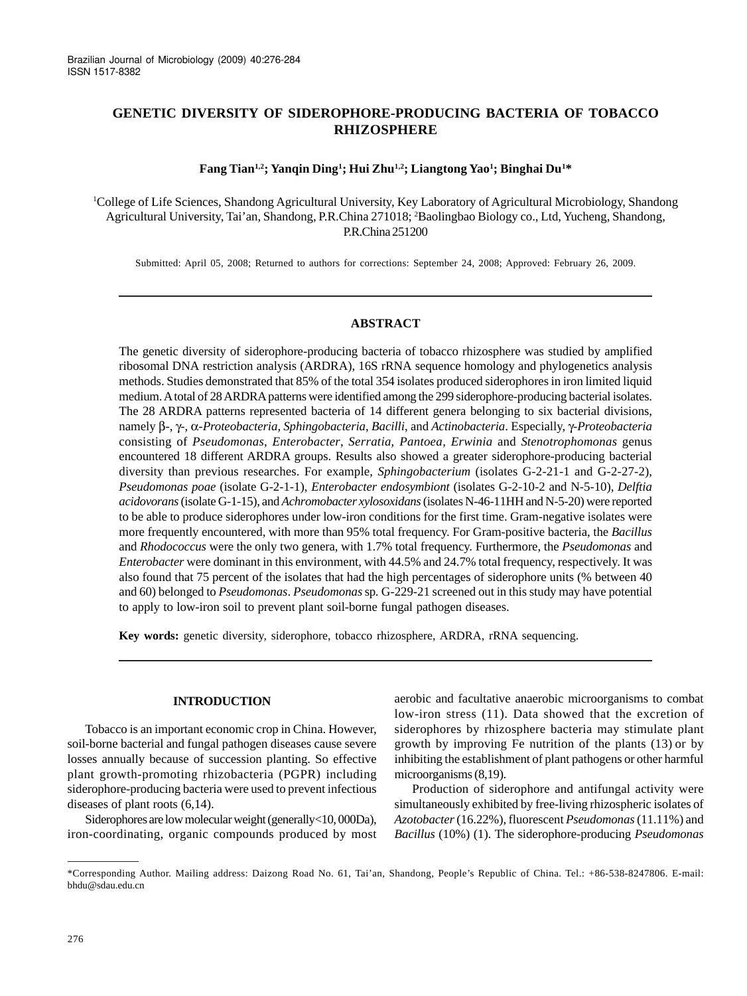# **GENETIC DIVERSITY OF SIDEROPHORE-PRODUCING BACTERIA OF TOBACCO RHIZOSPHERE**

# **Fang Tian1,2; Yanqin Ding1 ; Hui Zhu1,2; Liangtong Yao1 ; Binghai Du1 \***

1 College of Life Sciences, Shandong Agricultural University, Key Laboratory of Agricultural Microbiology, Shandong Agricultural University, Tai'an, Shandong, P.R.China 271018; 2 Baolingbao Biology co., Ltd, Yucheng, Shandong, P.R.China 251200

Submitted: April 05, 2008; Returned to authors for corrections: September 24, 2008; Approved: February 26, 2009.

# **ABSTRACT**

The genetic diversity of siderophore-producing bacteria of tobacco rhizosphere was studied by amplified ribosomal DNA restriction analysis (ARDRA), 16S rRNA sequence homology and phylogenetics analysis methods. Studies demonstrated that 85% of the total 354 isolates produced siderophores in iron limited liquid medium. A total of 28 ARDRA patterns were identified among the 299 siderophore-producing bacterial isolates. The 28 ARDRA patterns represented bacteria of 14 different genera belonging to six bacterial divisions, namely β-, γ-, α-*Proteobacteria*, *Sphingobacteria*, *Bacilli*, and *Actinobacteria*. Especially, γ-*Proteobacteria* consisting of *Pseudomonas*, *Enterobacter*, *Serratia*, *Pantoea*, *Erwinia* and *Stenotrophomonas* genus encountered 18 different ARDRA groups. Results also showed a greater siderophore-producing bacterial diversity than previous researches. For example, *Sphingobacterium* (isolates G-2-21-1 and G-2-27-2), *Pseudomonas poae* (isolate G-2-1-1), *Enterobacter endosymbiont* (isolates G-2-10-2 and N-5-10), *Delftia acidovorans* (isolate G-1-15), and *Achromobacter xylosoxidans* (isolates N-46-11HH and N-5-20) were reported to be able to produce siderophores under low-iron conditions for the first time. Gram-negative isolates were more frequently encountered, with more than 95% total frequency. For Gram-positive bacteria, the *Bacillus* and *Rhodococcus* were the only two genera, with 1.7% total frequency. Furthermore, the *Pseudomonas* and *Enterobacter* were dominant in this environment, with 44.5% and 24.7% total frequency, respectively. It was also found that 75 percent of the isolates that had the high percentages of siderophore units (% between 40 and 60) belonged to *Pseudomonas*. *Pseudomonas* sp*.* G-229-21 screened out in this study may have potential to apply to low-iron soil to prevent plant soil-borne fungal pathogen diseases.

**Key words:** genetic diversity, siderophore, tobacco rhizosphere, ARDRA, rRNA sequencing.

### **INTRODUCTION**

Tobacco is an important economic crop in China. However, soil-borne bacterial and fungal pathogen diseases cause severe losses annually because of succession planting. So effective plant growth-promoting rhizobacteria (PGPR) including siderophore-producing bacteria were used to prevent infectious diseases of plant roots (6,14).

Siderophores are low molecular weight (generally<10, 000Da), iron-coordinating, organic compounds produced by most aerobic and facultative anaerobic microorganisms to combat low-iron stress (11). Data showed that the excretion of siderophores by rhizosphere bacteria may stimulate plant growth by improving Fe nutrition of the plants (13) or by inhibiting the establishment of plant pathogens or other harmful microorganisms (8,19).

Production of siderophore and antifungal activity were simultaneously exhibited by free-living rhizospheric isolates of *Azotobacter* (16.22%), fluorescent *Pseudomonas* (11.11%) and *Bacillus* (10%) (1). The siderophore-producing *Pseudomonas*

<sup>\*</sup>Corresponding Author. Mailing address: Daizong Road No. 61, Tai'an, Shandong, People's Republic of China. Tel.: +86-538-8247806. E-mail: bhdu@sdau.edu.cn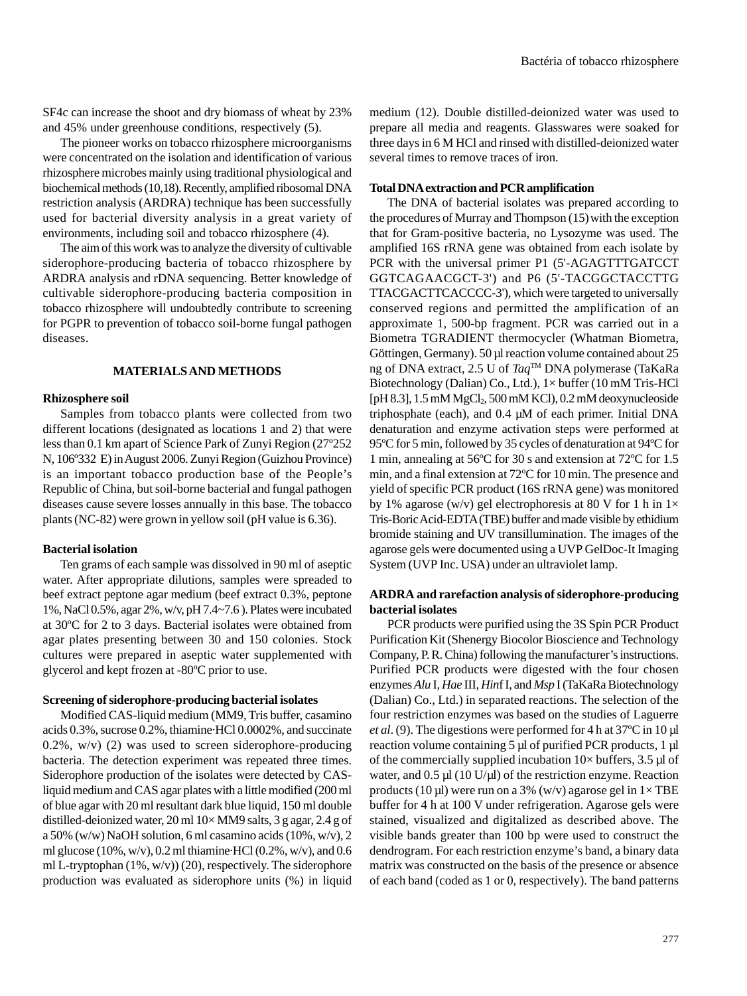SF4c can increase the shoot and dry biomass of wheat by 23% and 45% under greenhouse conditions, respectively (5).

The pioneer works on tobacco rhizosphere microorganisms were concentrated on the isolation and identification of various rhizosphere microbes mainly using traditional physiological and biochemical methods (10,18). Recently, amplified ribosomal DNA restriction analysis (ARDRA) technique has been successfully used for bacterial diversity analysis in a great variety of environments, including soil and tobacco rhizosphere (4).

The aim of this work was to analyze the diversity of cultivable siderophore-producing bacteria of tobacco rhizosphere by ARDRA analysis and rDNA sequencing. Better knowledge of cultivable siderophore-producing bacteria composition in tobacco rhizosphere will undoubtedly contribute to screening for PGPR to prevention of tobacco soil-borne fungal pathogen diseases.

### **MATERIALS AND METHODS**

### **Rhizosphere soil**

Samples from tobacco plants were collected from two different locations (designated as locations 1 and 2) that were less than 0.1 km apart of Science Park of Zunyi Region (27º252 N, 106º332 E) in August 2006. Zunyi Region (Guizhou Province) is an important tobacco production base of the People's Republic of China, but soil-borne bacterial and fungal pathogen diseases cause severe losses annually in this base. The tobacco plants (NC-82) were grown in yellow soil (pH value is 6.36).

#### **Bacterial isolation**

Ten grams of each sample was dissolved in 90 ml of aseptic water. After appropriate dilutions, samples were spreaded to beef extract peptone agar medium (beef extract 0.3%, peptone 1%, NaCl 0.5%, agar 2%, w/v, pH 7.4~7.6 ). Plates were incubated at 30ºC for 2 to 3 days. Bacterial isolates were obtained from agar plates presenting between 30 and 150 colonies. Stock cultures were prepared in aseptic water supplemented with glycerol and kept frozen at -80ºC prior to use.

#### **Screening of siderophore-producing bacterial isolates**

Modified CAS-liquid medium (MM9, Tris buffer, casamino acids 0.3%, sucrose 0.2%, thiamine·HCl 0.0002%, and succinate  $0.2\%$ , w/v)  $(2)$  was used to screen siderophore-producing bacteria. The detection experiment was repeated three times. Siderophore production of the isolates were detected by CASliquid medium and CAS agar plates with a little modified (200 ml of blue agar with 20 ml resultant dark blue liquid, 150 ml double distilled-deionized water, 20 ml 10× MM9 salts, 3 g agar, 2.4 g of a 50% (w/w) NaOH solution, 6 ml casamino acids (10%, w/v), 2 ml glucose (10%, w/v), 0.2 ml thiamine·HCl (0.2%, w/v), and 0.6 ml L-tryptophan  $(1\%, w/v)$  (20), respectively. The siderophore production was evaluated as siderophore units (%) in liquid medium (12). Double distilled-deionized water was used to prepare all media and reagents. Glasswares were soaked for three days in 6 M HCl and rinsed with distilled-deionized water several times to remove traces of iron.

#### **Total DNA extraction and PCR amplification**

The DNA of bacterial isolates was prepared according to the procedures of Murray and Thompson (15)with the exception that for Gram-positive bacteria, no Lysozyme was used. The amplified 16S rRNA gene was obtained from each isolate by PCR with the universal primer P1 (5'-AGAGTTTGATCCT GGTCAGAACGCT-3') and P6 (5'-TACGGCTACCTTG TTACGACTTCACCCC-3'), which were targeted to universally conserved regions and permitted the amplification of an approximate 1, 500-bp fragment. PCR was carried out in a Biometra TGRADIENT thermocycler (Whatman Biometra, Göttingen, Germany). 50 µl reaction volume contained about 25 ng of DNA extract, 2.5 U of *Taq*TM DNA polymerase (TaKaRa Biotechnology (Dalian) Co., Ltd.),  $1 \times$  buffer (10 mM Tris-HCl [pH 8.3],  $1.5 \text{ mM }MgCl_2$ ,  $500 \text{ mM }KCl$ ),  $0.2 \text{ mM }d$ eoxynucleoside triphosphate (each), and 0.4 µM of each primer. Initial DNA denaturation and enzyme activation steps were performed at 95ºC for 5 min, followed by 35 cycles of denaturation at 94ºC for 1 min, annealing at 56ºC for 30 s and extension at 72ºC for 1.5 min, and a final extension at 72ºC for 10 min. The presence and yield of specific PCR product (16S rRNA gene) was monitored by 1% agarose (w/v) gel electrophoresis at 80 V for 1 h in  $1\times$ Tris-Boric Acid-EDTA (TBE) buffer and made visible by ethidium bromide staining and UV transillumination. The images of the agarose gels were documented using a UVP GelDoc-It Imaging System (UVP Inc. USA) under an ultraviolet lamp.

# **ARDRA and rarefaction analysis of siderophore-producing bacterial isolates**

PCR products were purified using the 3S Spin PCR Product Purification Kit (Shenergy Biocolor Bioscience and Technology Company, P. R. China) following the manufacturer's instructions. Purified PCR products were digested with the four chosen enzymes *Alu* I, *Hae* III, *Hin*f I, and *Msp* I (TaKaRa Biotechnology (Dalian) Co., Ltd.) in separated reactions. The selection of the four restriction enzymes was based on the studies of Laguerre *et al*. (9). The digestions were performed for 4 h at 37ºC in 10 µl reaction volume containing 5 µl of purified PCR products, 1 µl of the commercially supplied incubation  $10\times$  buffers, 3.5 µl of water, and 0.5 µl (10 U/µl) of the restriction enzyme. Reaction products (10 µl) were run on a 3% (w/v) agarose gel in  $1 \times$  TBE buffer for 4 h at 100 V under refrigeration. Agarose gels were stained, visualized and digitalized as described above. The visible bands greater than 100 bp were used to construct the dendrogram. For each restriction enzyme's band, a binary data matrix was constructed on the basis of the presence or absence of each band (coded as 1 or 0, respectively). The band patterns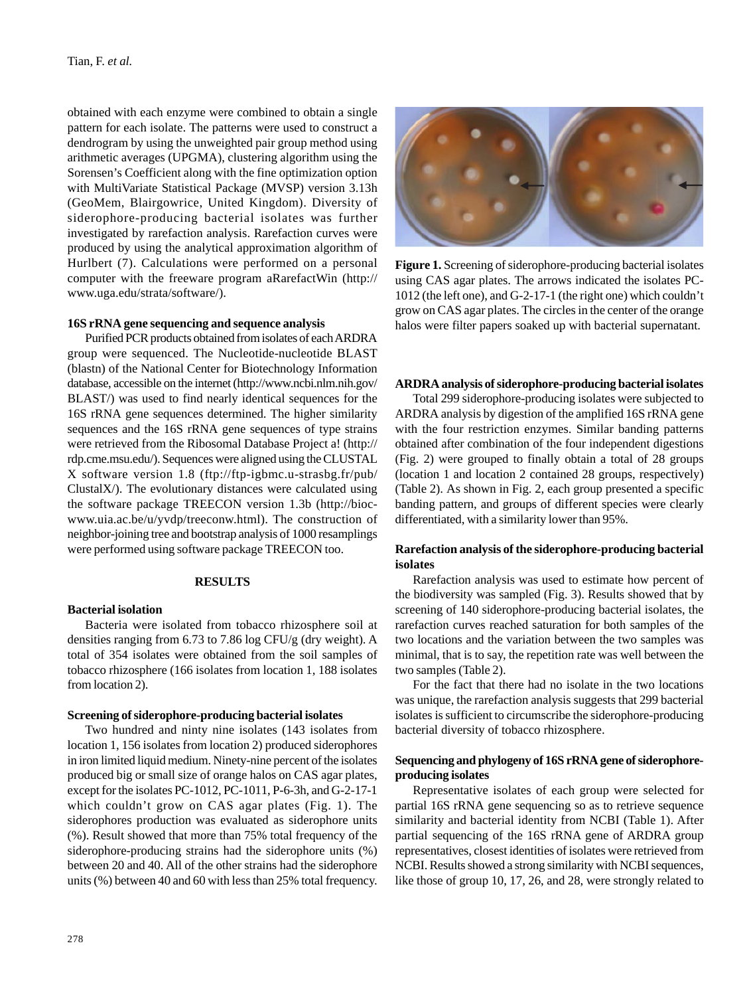obtained with each enzyme were combined to obtain a single pattern for each isolate. The patterns were used to construct a dendrogram by using the unweighted pair group method using arithmetic averages (UPGMA), clustering algorithm using the Sorensen's Coefficient along with the fine optimization option with MultiVariate Statistical Package (MVSP) version 3.13h (GeoMem, Blairgowrice, United Kingdom). Diversity of siderophore-producing bacterial isolates was further investigated by rarefaction analysis. Rarefaction curves were produced by using the analytical approximation algorithm of Hurlbert (7). Calculations were performed on a personal computer with the freeware program aRarefactWin (http:// www.uga.edu/strata/software/).

# **16S rRNA gene sequencing and sequence analysis**

Purified PCR products obtained from isolates of each ARDRA group were sequenced. The Nucleotide-nucleotide BLAST (blastn) of the National Center for Biotechnology Information database, accessible on the internet (http://www.ncbi.nlm.nih.gov/ BLAST/) was used to find nearly identical sequences for the 16S rRNA gene sequences determined. The higher similarity sequences and the 16S rRNA gene sequences of type strains were retrieved from the Ribosomal Database Project a! (http:// rdp.cme.msu.edu/). Sequences were aligned using the CLUSTAL X software version 1.8 (ftp://ftp-igbmc.u-strasbg.fr/pub/ ClustalX/). The evolutionary distances were calculated using the software package TREECON version 1.3b (http://biocwww.uia.ac.be/u/yvdp/treeconw.html). The construction of neighbor-joining tree and bootstrap analysis of 1000 resamplings were performed using software package TREECON too.

# **RESULTS**

#### **Bacterial isolation**

Bacteria were isolated from tobacco rhizosphere soil at densities ranging from 6.73 to 7.86 log CFU/g (dry weight). A total of 354 isolates were obtained from the soil samples of tobacco rhizosphere (166 isolates from location 1, 188 isolates from location 2).

#### **Screening of siderophore-producing bacterial isolates**

Two hundred and ninty nine isolates (143 isolates from location 1, 156 isolates from location 2) produced siderophores in iron limited liquid medium. Ninety-nine percent of the isolates produced big or small size of orange halos on CAS agar plates, except for the isolates PC-1012, PC-1011, P-6-3h, and G-2-17-1 which couldn't grow on CAS agar plates (Fig. 1). The siderophores production was evaluated as siderophore units (%). Result showed that more than 75% total frequency of the siderophore-producing strains had the siderophore units (%) between 20 and 40. All of the other strains had the siderophore units (%) between 40 and 60 with less than 25% total frequency.



**Figure 1.** Screening of siderophore-producing bacterial isolates using CAS agar plates. The arrows indicated the isolates PC-1012 (the left one), and G-2-17-1 (the right one) which couldn't grow on CAS agar plates. The circles in the center of the orange halos were filter papers soaked up with bacterial supernatant.

#### **ARDRA analysis of siderophore-producing bacterial isolates**

Total 299 siderophore-producing isolates were subjected to ARDRA analysis by digestion of the amplified 16S rRNA gene with the four restriction enzymes. Similar banding patterns obtained after combination of the four independent digestions (Fig. 2) were grouped to finally obtain a total of 28 groups (location 1 and location 2 contained 28 groups, respectively) (Table 2). As shown in Fig. 2, each group presented a specific banding pattern, and groups of different species were clearly differentiated, with a similarity lower than 95%.

# **Rarefaction analysis of the siderophore-producing bacterial isolates**

Rarefaction analysis was used to estimate how percent of the biodiversity was sampled (Fig. 3). Results showed that by screening of 140 siderophore-producing bacterial isolates, the rarefaction curves reached saturation for both samples of the two locations and the variation between the two samples was minimal, that is to say, the repetition rate was well between the two samples (Table 2).

For the fact that there had no isolate in the two locations was unique, the rarefaction analysis suggests that 299 bacterial isolates is sufficient to circumscribe the siderophore-producing bacterial diversity of tobacco rhizosphere.

# **Sequencing and phylogeny of 16S rRNA gene of siderophoreproducing isolates**

Representative isolates of each group were selected for partial 16S rRNA gene sequencing so as to retrieve sequence similarity and bacterial identity from NCBI (Table 1). After partial sequencing of the 16S rRNA gene of ARDRA group representatives, closest identities of isolates were retrieved from NCBI. Results showed a strong similarity with NCBI sequences, like those of group 10, 17, 26, and 28, were strongly related to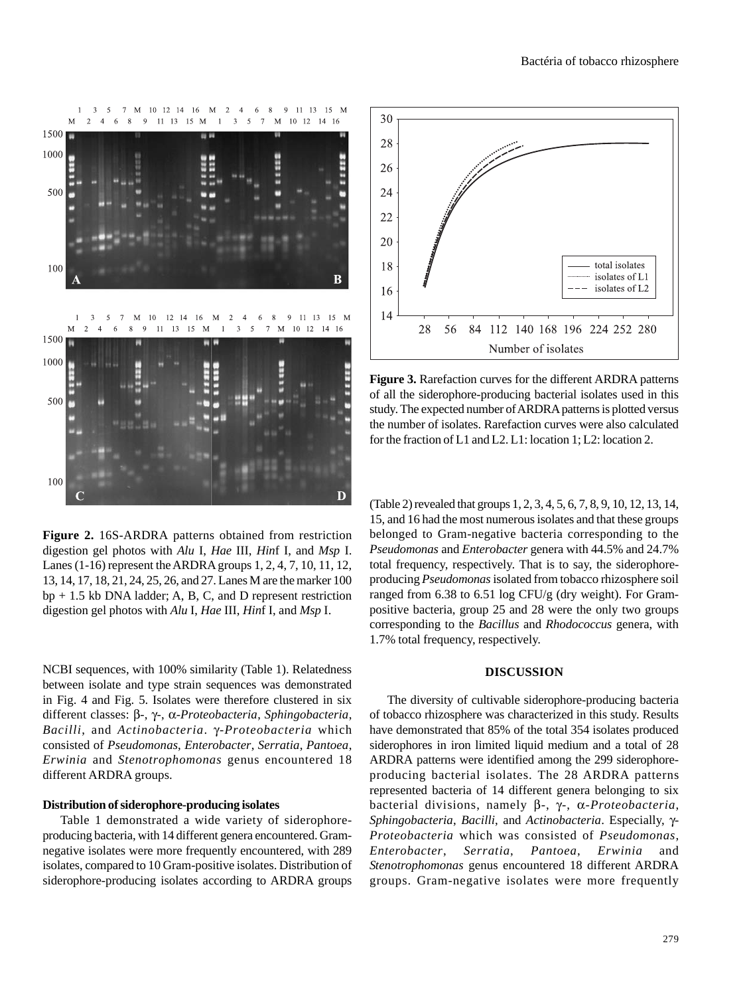

**Figure 2.** 16S-ARDRA patterns obtained from restriction digestion gel photos with *Alu* I, *Hae* III, *Hin*f I, and *Msp* I. Lanes (1-16) represent the ARDRA groups 1, 2, 4, 7, 10, 11, 12, 13, 14, 17, 18, 21, 24, 25, 26, and 27. Lanes M are the marker 100 bp + 1.5 kb DNA ladder; A, B, C, and D represent restriction digestion gel photos with *Alu* I, *Hae* III, *Hin*f I, and *Msp* I.

NCBI sequences, with 100% similarity (Table 1). Relatedness between isolate and type strain sequences was demonstrated in Fig. 4 and Fig. 5. Isolates were therefore clustered in six different classes: β-, γ-, α-*Proteobacteria*, *Sphingobacteria*, *Bacilli*, and *Actinobacteria*. γ-*Proteobacteria* which consisted of *Pseudomonas*, *Enterobacter*, *Serratia*, *Pantoea*, *Erwinia* and *Stenotrophomonas* genus encountered 18 different ARDRA groups.

## **Distribution of siderophore-producing isolates**

Table 1 demonstrated a wide variety of siderophoreproducing bacteria, with 14 different genera encountered. Gramnegative isolates were more frequently encountered, with 289 isolates, compared to 10 Gram-positive isolates. Distribution of siderophore-producing isolates according to ARDRA groups



**Figure 3.** Rarefaction curves for the different ARDRA patterns of all the siderophore-producing bacterial isolates used in this study. The expected number of ARDRA patterns is plotted versus the number of isolates. Rarefaction curves were also calculated for the fraction of L1 and L2. L1: location 1; L2: location 2.

(Table 2) revealed that groups 1, 2, 3, 4, 5, 6, 7, 8, 9, 10, 12, 13, 14, 15, and 16 had the most numerous isolates and that these groups belonged to Gram-negative bacteria corresponding to the *Pseudomonas* and *Enterobacter* genera with 44.5% and 24.7% total frequency, respectively. That is to say, the siderophoreproducing *Pseudomonas* isolated from tobacco rhizosphere soil ranged from 6.38 to 6.51 log CFU/g (dry weight). For Grampositive bacteria, group 25 and 28 were the only two groups corresponding to the *Bacillus* and *Rhodococcus* genera, with 1.7% total frequency, respectively.

### **DISCUSSION**

The diversity of cultivable siderophore-producing bacteria of tobacco rhizosphere was characterized in this study. Results have demonstrated that 85% of the total 354 isolates produced siderophores in iron limited liquid medium and a total of 28 ARDRA patterns were identified among the 299 siderophoreproducing bacterial isolates. The 28 ARDRA patterns represented bacteria of 14 different genera belonging to six bacterial divisions, namely β-, γ-, α-*Proteobacteria*, *Sphingobacteria*, *Bacilli*, and *Actinobacteria*. Especially, γ-*Proteobacteria* which was consisted of *Pseudomonas*, *Enterobacter*, *Serratia*, *Pantoea*, *Erwinia* and *Stenotrophomonas* genus encountered 18 different ARDRA groups. Gram-negative isolates were more frequently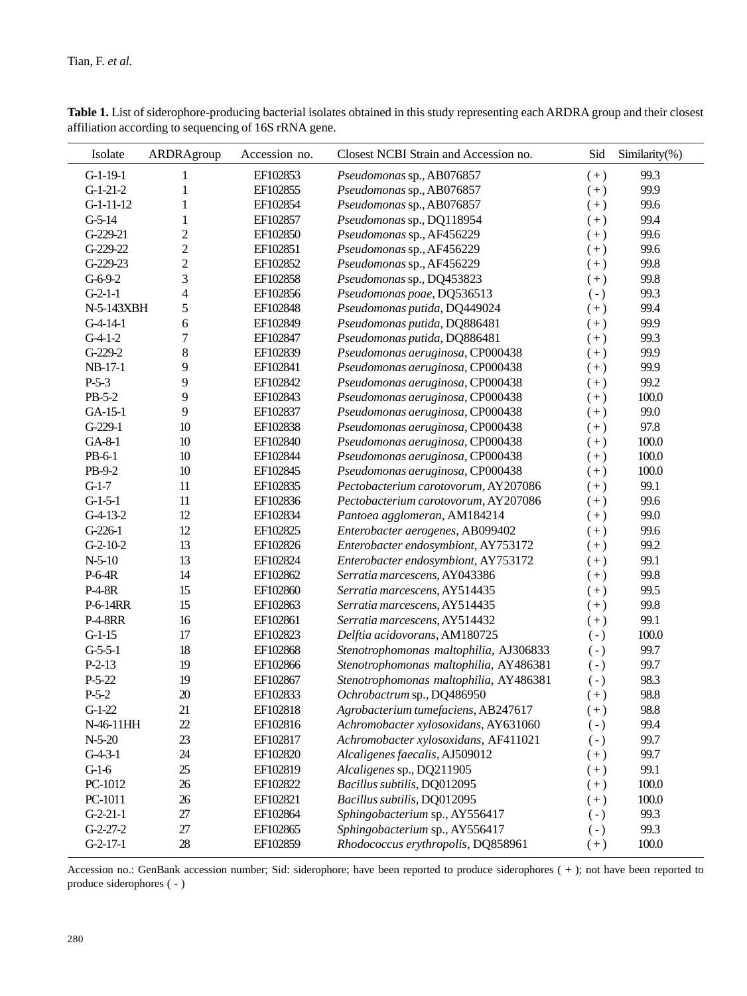| Isolate        | ARDRAgroup     | Accession no. | Closest NCBI Strain and Accession no.  | Sid       | Similarity(%) |
|----------------|----------------|---------------|----------------------------------------|-----------|---------------|
| $G-1-19-1$     | 1              | EF102853      | Pseudomonas sp., AB076857              | $(+)$     | 99.3          |
| $G-1-21-2$     | 1              | EF102855      | Pseudomonas sp., AB076857              | $(+)$     | 99.9          |
| $G-1-11-12$    | 1              | EF102854      | Pseudomonas sp., AB076857              | $(+)$     | 99.6          |
| $G-5-14$       | $\mathbf{1}$   | EF102857      | Pseudomonas sp., DQ118954              | $(+)$     | 99.4          |
| G-229-21       | $\overline{c}$ | EF102850      | Pseudomonas sp., AF456229              | $(+)$     | 99.6          |
| G-229-22       | $\overline{c}$ | EF102851      | Pseudomonas sp., AF456229              | $(+)$     | 99.6          |
| G-229-23       | $\overline{c}$ | EF102852      | Pseudomonas sp., AF456229              | $(+)$     | 99.8          |
| $G-6-9-2$      | 3              | EF102858      | Pseudomonas sp., DQ453823              | $(+)$     | 99.8          |
| $G-2-1-1$      | $\overline{4}$ | EF102856      | Pseudomonas poae, DQ536513             | $(-)$     | 99.3          |
| N-5-143XBH     | 5              | EF102848      | Pseudomonas putida, DQ449024           | $(+)$     | 99.4          |
| $G-4-14-1$     | 6              | EF102849      | Pseudomonas putida, DQ886481           | $(+)$     | 99.9          |
| $G-4-1-2$      | $\overline{7}$ | EF102847      | Pseudomonas putida, DQ886481           | $(+)$     | 99.3          |
| G-229-2        | 8              | EF102839      | Pseudomonas aeruginosa, CP000438       | $(+)$     | 99.9          |
| NB-17-1        | 9              | EF102841      | Pseudomonas aeruginosa, CP000438       | $(+)$     | 99.9          |
| $P-5-3$        | 9              | EF102842      | Pseudomonas aeruginosa, CP000438       | $(+)$     | 99.2          |
| PB-5-2         | 9              | EF102843      | Pseudomonas aeruginosa, CP000438       | $(+)$     | 100.0         |
| GA-15-1        | 9              | EF102837      | Pseudomonas aeruginosa, CP000438       | $(+)$     | 99.0          |
| $G-229-1$      | 10             | EF102838      | Pseudomonas aeruginosa, CP000438       | $(+)$     | 97.8          |
| $GA-8-1$       | 10             | EF102840      | Pseudomonas aeruginosa, CP000438       | $(+)$     | 100.0         |
| PB-6-1         | $10\,$         | EF102844      | Pseudomonas aeruginosa, CP000438       | $(+)$     | 100.0         |
| PB-9-2         | 10             | EF102845      | Pseudomonas aeruginosa, CP000438       | $(+)$     | 100.0         |
| $G-1-7$        | 11             | EF102835      | Pectobacterium carotovorum, AY207086   | $(+)$     | 99.1          |
| $G-1-5-1$      | 11             | EF102836      | Pectobacterium carotovorum, AY207086   | $(+)$     | 99.6          |
| $G-4-13-2$     | 12             | EF102834      | Pantoea agglomeran, AM184214           | $(+)$     | 99.0          |
| $G-226-1$      | 12             | EF102825      | Enterobacter aerogenes, AB099402       | $(+)$     | 99.6          |
| $G-2-10-2$     | 13             | EF102826      | Enterobacter endosymbiont, AY753172    | $(+)$     | 99.2          |
| $N-5-10$       | 13             | EF102824      | Enterobacter endosymbiont, AY753172    | $(+)$     | 99.1          |
| $P-6-4R$       | 14             | EF102862      | Serratia marcescens, AY043386          | $(+)$     | 99.8          |
| P-4-8R         | 15             | EF102860      | Serratia marcescens, AY514435          | $(+)$     | 99.5          |
| P-6-14RR       | 15             | EF102863      | Serratia marcescens, AY514435          | $(+)$     | 99.8          |
| <b>P-4-8RR</b> | 16             | EF102861      | Serratia marcescens, AY514432          | $(+)$     | 99.1          |
| $G-1-15$       | 17             | EF102823      | Delftia acidovorans, AM180725          | $(-)$     | 100.0         |
| $G-5-5-1$      | 18             | EF102868      | Stenotrophomonas maltophilia, AJ306833 | $(-)$     | 99.7          |
| $P-2-13$       | 19             | EF102866      | Stenotrophomonas maltophilia, AY486381 | $(-)$     | 99.7          |
| $P-5-22$       | 19             | EF102867      | Stenotrophomonas maltophilia, AY486381 | $(-)$     | 98.3          |
| $P-5-2$        | 20             | EF102833      | Ochrobactrum sp., DQ486950             | $(+)$     | 98.8          |
| $G-1-22$       | $21\,$         | EF102818      | Agrobacterium tumefaciens, AB247617    | $(+)$     | 98.8          |
| N-46-11HH      | $22\,$         | EF102816      | Achromobacter xylosoxidans, AY631060   | $(\cdot)$ | 99.4          |
| $N-5-20$       | $23\,$         | EF102817      | Achromobacter xylosoxidans, AF411021   | $(-)$     | 99.7          |
| $G-4-3-1$      | $24\,$         | EF102820      | Alcaligenes faecalis, AJ509012         | $(+)$     | 99.7          |
| $G-1-6$        | $25\,$         | EF102819      | Alcaligenes sp., DQ211905              | $(+)$     | 99.1          |
| PC-1012        | $26\,$         | EF102822      | Bacillus subtilis, DQ012095            | $(+)$     | 100.0         |
| PC-1011        | $26\,$         | EF102821      | Bacillus subtilis, DQ012095            | $(+)$     | 100.0         |
| $G-2-21-1$     | $27\,$         | EF102864      | Sphingobacterium sp., AY556417         | $(\cdot)$ | 99.3          |
| $G-2-27-2$     | $27\,$         | EF102865      | Sphingobacterium sp., AY556417         | $(\cdot)$ | 99.3          |
| $G-2-17-1$     | $28\,$         | EF102859      | Rhodococcus erythropolis, DQ858961     | $(+)$     | 100.0         |

Table 1. List of siderophore-producing bacterial isolates obtained in this study representing each ARDRA group and their closest affiliation according to sequencing of 16S rRNA gene.

Accession no.: GenBank accession number; Sid: siderophore; have been reported to produce siderophores ( + ); not have been reported to produce siderophores ( - )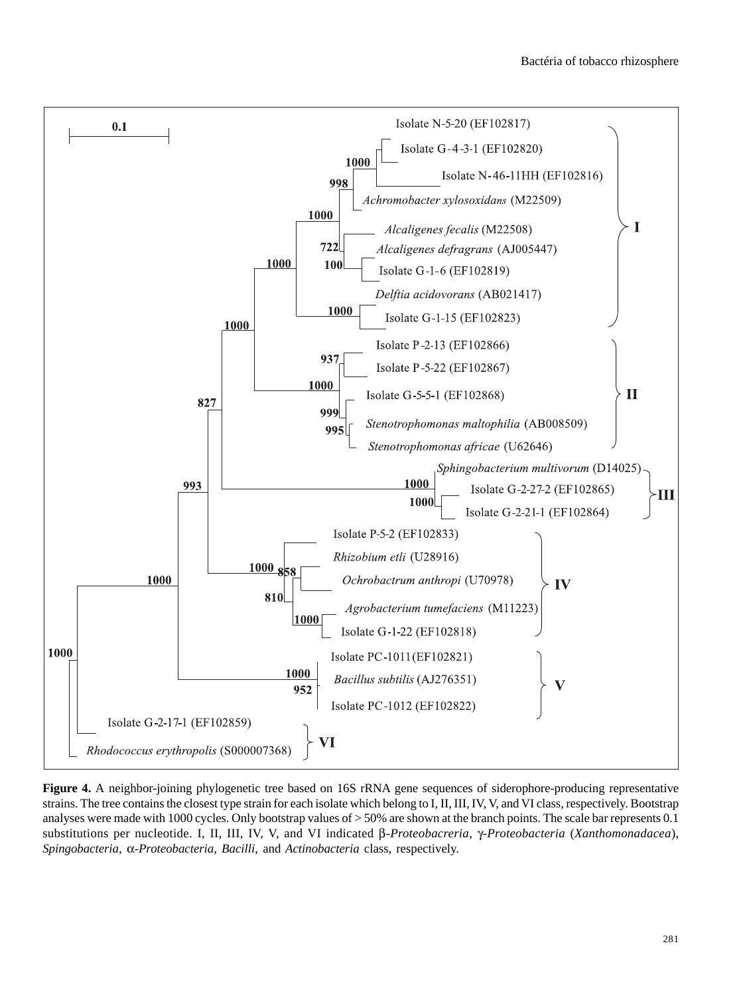

**Figure 4.** A neighbor-joining phylogenetic tree based on 16S rRNA gene sequences of siderophore-producing representative strains. The tree contains the closest type strain for each isolate which belong to I, II, III, IV, V, and VI class, respectively. Bootstrap analyses were made with 1000 cycles. Only bootstrap values of > 50% are shown at the branch points. The scale bar represents 0.1 substitutions per nucleotide. I, II, III, IV, V, and VI indicated β*-Proteobacreria*, γ*-Proteobacteria* (*Xanthomonadacea*), *Spingobacteria*, α-*Proteobacteria*, *Bacilli*, and *Actinobacteria* class, respectively.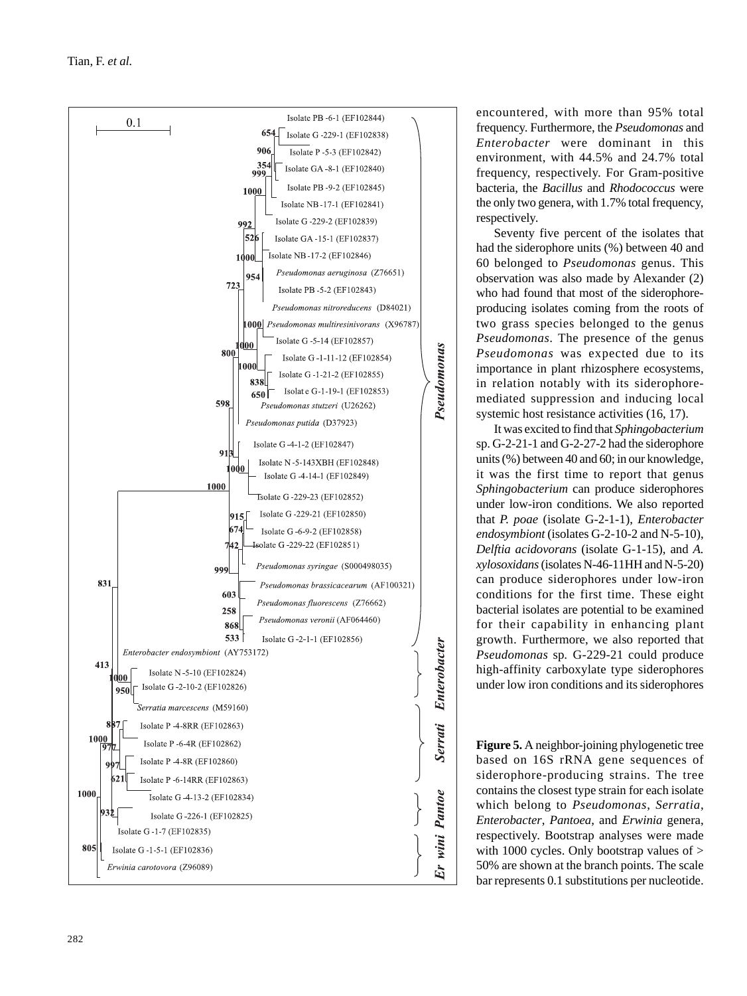

encountered, with more than 95% total frequency. Furthermore, the *Pseudomonas* and *Enterobacter* were dominant in this environment, with 44.5% and 24.7% total frequency, respectively. For Gram-positive bacteria, the *Bacillus* and *Rhodococcus* were the only two genera, with 1.7% total frequency, respectively.

Seventy five percent of the isolates that had the siderophore units (%) between 40 and 60 belonged to *Pseudomonas* genus. This observation was also made by Alexander (2) who had found that most of the siderophoreproducing isolates coming from the roots of two grass species belonged to the genus *Pseudomonas*. The presence of the genus *Pseudomonas* was expected due to its importance in plant rhizosphere ecosystems, in relation notably with its siderophoremediated suppression and inducing local systemic host resistance activities  $(16, 17)$ .

It was excited to find that *Sphingobacterium* sp. G-2-21-1 and G-2-27-2 had the siderophore units (%) between 40 and 60; in our knowledge, it was the first time to report that genus *Sphingobacterium* can produce siderophores under low-iron conditions. We also reported that *P. poae* (isolate G-2-1-1), *Enterobacter endosymbiont* (isolates G-2-10-2 and N-5-10), *Delftia acidovorans* (isolate G-1-15), and *A. xylosoxidans* (isolates N-46-11HH and N-5-20) can produce siderophores under low-iron conditions for the first time. These eight bacterial isolates are potential to be examined for their capability in enhancing plant growth. Furthermore, we also reported that *Pseudomonas* sp*.* G-229-21 could produce high-affinity carboxylate type siderophores under low iron conditions and its siderophores

**Figure 5.**  A neighbor-joining phylogenetic tree based on 16S rRNA gene sequences of siderophore-producing strains. The tree contains the closest type strain for each isolate which belong to *Pseudomonas*, *Serratia* , *Enterobacter*, *Pantoea*, and *Erwinia* genera, respectively. Bootstrap analyses were made with 1000 cycles. Only bootstrap values of > 50% are shown at the branch points. The scale bar represents 0.1 substitutions per nucleotide.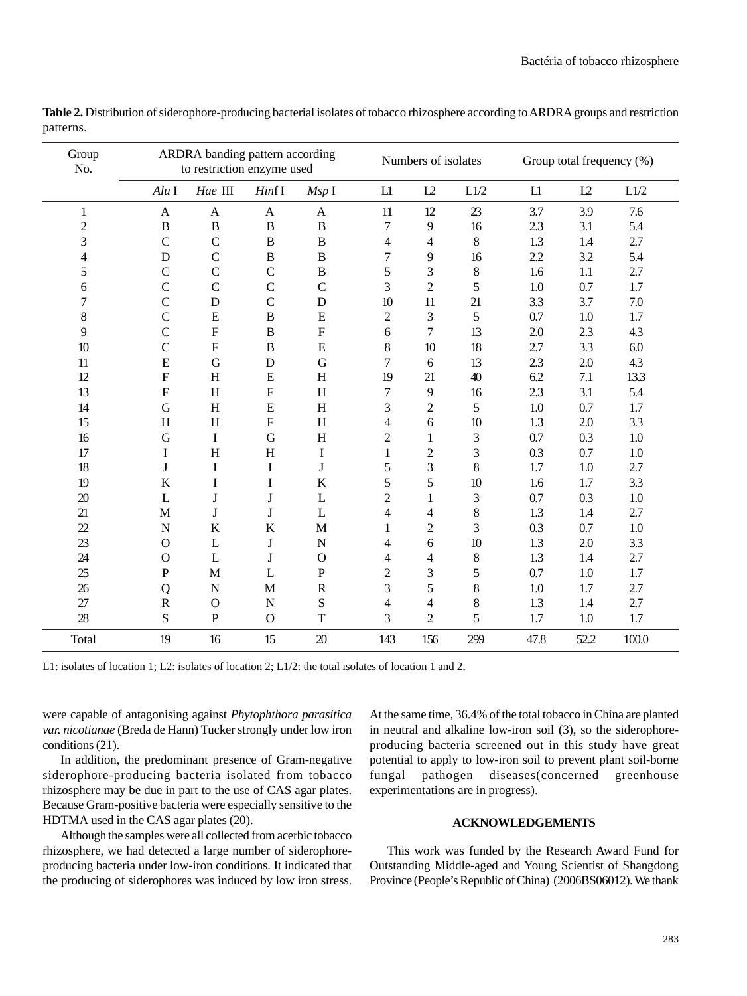| Group<br>No.   | ARDRA banding pattern according<br>to restriction enzyme used |                           |               |                | Numbers of isolates |                | Group total frequency (%) |            |         |         |
|----------------|---------------------------------------------------------------|---------------------------|---------------|----------------|---------------------|----------------|---------------------------|------------|---------|---------|
|                | $Alu$ I                                                       | Hae III                   | HintI         | MspI           | L1                  | L2             | L1/2                      | ${\rm L}1$ | L2      | L1/2    |
| $\mathbf{1}$   | $\mathbf{A}$                                                  | $\mathbf{A}$              | $\mathbf{A}$  | $\mathbf{A}$   | 11                  | 12             | 23                        | 3.7        | 3.9     | 7.6     |
| $\overline{c}$ | $\, {\bf B}$                                                  | $\, {\bf B}$              | $\, {\bf B}$  | $\, {\bf B}$   | 7                   | 9              | 16                        | 2.3        | 3.1     | 5.4     |
| 3              | $\mathsf{C}$                                                  | $\mathsf{C}$              | $\, {\bf B}$  | $\, {\bf B}$   | 4                   | 4              | $\,8\,$                   | 1.3        | 1.4     | 2.7     |
| 4              | D                                                             | $\mathcal{C}$             | $\, {\bf B}$  | $\overline{B}$ | 7                   | 9              | 16                        | 2.2        | 3.2     | 5.4     |
| 5              | $\mathsf{C}$                                                  | $\mathsf{C}$              | $\mathsf{C}$  | $\, {\bf B}$   | 5                   | 3              | $\,8\,$                   | 1.6        | 1.1     | 2.7     |
| 6              | $\overline{C}$                                                | $\mathcal{C}$             | $\mathcal{C}$ | $\mathcal{C}$  | 3                   | $\overline{2}$ | 5                         | 1.0        | 0.7     | 1.7     |
| 7              | $\overline{C}$                                                | $\mathbf D$               | $\mathcal{C}$ | $\mathbf D$    | 10                  | 11             | 21                        | 3.3        | 3.7     | 7.0     |
| 8              | $\overline{C}$                                                | E                         | $\, {\bf B}$  | E              | $\mathbf{2}$        | 3              | 5                         | 0.7        | 1.0     | 1.7     |
| 9              | $\overline{C}$                                                | $\mathbf F$               | $\bf{B}$      | ${\bf F}$      | 6                   | 7              | 13                        | 2.0        | 2.3     | 4.3     |
| 10             | $\mathcal{C}$                                                 | $\boldsymbol{\mathrm{F}}$ | $\, {\bf B}$  | ${\bf E}$      | $8\,$               | 10             | 18                        | 2.7        | 3.3     | 6.0     |
| 11             | ${\bf E}$                                                     | G                         | $\mathbf D$   | G              | $\boldsymbol{7}$    | 6              | 13                        | 2.3        | 2.0     | 4.3     |
| 12             | ${\bf F}$                                                     | H                         | ${\bf E}$     | H              | 19                  | 21             | 40                        | 6.2        | 7.1     | 13.3    |
| 13             | $\mathbf F$                                                   | H                         | ${\bf F}$     | H              | 7                   | 9              | 16                        | 2.3        | 3.1     | 5.4     |
| 14             | $\mathbf G$                                                   | H                         | ${\bf E}$     | H              | 3                   | $\overline{2}$ | 5                         | 1.0        | 0.7     | 1.7     |
| 15             | H                                                             | H                         | ${\bf F}$     | H              | 4                   | 6              | $10\,$                    | 1.3        | 2.0     | 3.3     |
| 16             | $\mathbf G$                                                   | $\bf{I}$                  | G             | H              | $\overline{c}$      | $\mathbf{1}$   | 3                         | 0.7        | 0.3     | 1.0     |
| 17             | I                                                             | H                         | H             | $\mathbf I$    | 1                   | $\overline{c}$ | 3                         | 0.3        | 0.7     | $1.0\,$ |
| 18             | J                                                             | $\bf I$                   | I             | $\bf J$        | 5                   | 3              | 8                         | 1.7        | 1.0     | 2.7     |
| 19             | $\bf K$                                                       | $\bf I$                   | I             | $\bf K$        | 5                   | 5              | 10                        | 1.6        | 1.7     | 3.3     |
| 20             | L                                                             | J                         | $\bf J$       | L              | $\overline{c}$      | 1              | 3                         | 0.7        | 0.3     | 1.0     |
| 21             | $\mathbf M$                                                   | J                         | $\bf J$       | L              | 4                   | 4              | $\,8\,$                   | 1.3        | $1.4\,$ | 2.7     |
| 22             | $\mathbf N$                                                   | K                         | $\bf K$       | $\mathbf M$    | 1                   | $\overline{2}$ | 3                         | 0.3        | 0.7     | 1.0     |
| 23             | $\mathbf O$                                                   | $\mathbf{L}$              | $\bf J$       | $\mathbf N$    | 4                   | 6              | 10                        | 1.3        | 2.0     | 3.3     |
| 24             | $\mathbf{O}$                                                  | L                         | J             | $\mathbf O$    | 4                   | 4              | $\,8\,$                   | 1.3        | 1.4     | 2.7     |
| 25             | ${\bf P}$                                                     | M                         | L             | ${\bf P}$      | $\overline{c}$      | 3              | 5                         | 0.7        | 1.0     | 1.7     |
| 26             | Q                                                             | N                         | M             | $\mathbb{R}$   | 3                   | 5              | $\,8\,$                   | 1.0        | 1.7     | 2.7     |
| 27             | ${\bf R}$                                                     | $\mathbf O$               | ${\bf N}$     | S              | $\overline{4}$      | 4              | 8                         | 1.3        | 1.4     | 2.7     |
| 28             | ${\bf S}$                                                     | ${\bf P}$                 | $\mathbf{O}$  | $\mathbf T$    | 3                   | $\overline{2}$ | 5                         | 1.7        | 1.0     | 1.7     |
| Total          | 19                                                            | 16                        | 15            | 20             | 143                 | 156            | 299                       | 47.8       | 52.2    | 100.0   |

Table 2. Distribution of siderophore-producing bacterial isolates of tobacco rhizosphere according to ARDRA groups and restriction patterns.

L1: isolates of location 1; L2: isolates of location 2; L1/2: the total isolates of location 1 and 2.

were capable of antagonising against *Phytophthora parasitica var. nicotianae* (Breda de Hann) Tucker strongly under low iron conditions (21).

In addition, the predominant presence of Gram-negative siderophore-producing bacteria isolated from tobacco rhizosphere may be due in part to the use of CAS agar plates. Because Gram-positive bacteria were especially sensitive to the HDTMA used in the CAS agar plates (20).

Although the samples were all collected from acerbic tobacco rhizosphere, we had detected a large number of siderophoreproducing bacteria under low-iron conditions. It indicated that the producing of siderophores was induced by low iron stress.

At the same time, 36.4% of the total tobacco in China are planted in neutral and alkaline low-iron soil (3), so the siderophoreproducing bacteria screened out in this study have great potential to apply to low-iron soil to prevent plant soil-borne fungal pathogen diseases(concerned greenhouse experimentations are in progress).

### **ACKNOWLEDGEMENTS**

This work was funded by the Research Award Fund for Outstanding Middle-aged and Young Scientist of Shangdong Province (People's Republic of China) (2006BS06012). We thank